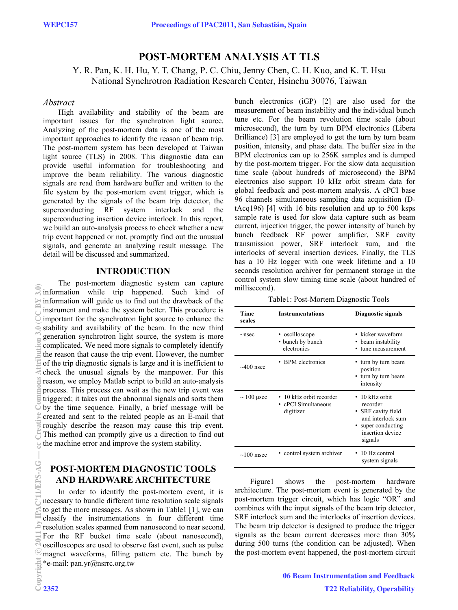# **POST-MORTEM ANALYSIS AT TLS**

Y. R. Pan, K. H. Hu, Y. T. Chang, P. C. Chiu, Jenny Chen, C. H. Kuo, and K. T. Hsu National Synchrotron Radiation Research Center, Hsinchu 30076, Taiwan

#### *Abstract*

High availability and stability of the beam are important issues for the synchrotron light source. Analyzing of the post-mortem data is one of the most important approaches to identify the reason of beam trip. The post-mortem system has been developed at Taiwan light source (TLS) in 2008. This diagnostic data can provide useful information for troubleshooting and improve the beam reliability. The various diagnostic signals are read from hardware buffer and written to the file system by the post-mortem event trigger, which is generated by the signals of the beam trip detector, the superconducting RF system interlock and the superconducting insertion device interlock. In this report, we build an auto-analysis process to check whether a new trip event happened or not, promptly find out the unusual signals, and generate an analyzing result message. The detail will be discussed and summarized.

# **INTRODUCTION**

The post-mortem diagnostic system can capture information while trip happened. Such kind of information will guide us to find out the drawback of the instrument and make the system better. This procedure is important for the synchrotron light source to enhance the stability and availability of the beam. In the new third generation synchrotron light source, the system is more complicated. We need more signals to completely identify the reason that cause the trip event. However, the number of the trip diagnostic signals is large and it is inefficient to check the unusual signals by the manpower. For this reason, we employ Matlab script to build an auto-analysis process. This process can wait as the new trip event was triggered; it takes out the abnormal signals and sorts them by the time sequence. Finally, a brief message will be created and sent to the related people as an E-mail that roughly describe the reason may cause this trip event. This method can promptly give us a direction to find out the machine error and improve the system stability.

# **POST-MORTEM DIAGNOSTIC TOOLS AND HARDWARE ARCHITECTURE**

\*e-mail: pan.yr@nsrrc.org.tw In order to identify the post-mortem event, it is necessary to bundle different time resolution scale signals to get the more messages. As shown in Table1 [1], we can classify the instrumentations in four different time resolution scales spanned from nanosecond to near second. For the RF bucket time scale (about nanosecond), oscilloscopes are used to observe fast event, such as pulse magnet waveforms, filling pattern etc. The bunch by

bunch electronics (iGP) [2] are also used for the measurement of beam instability and the individual bunch tune etc. For the beam revolution time scale (about microsecond), the turn by turn BPM electronics (Libera Brilliance) [3] are employed to get the turn by turn beam position, intensity, and phase data. The buffer size in the BPM electronics can up to 256K samples and is dumped by the post-mortem trigger. For the slow data acquisition time scale (about hundreds of microsecond) the BPM electronics also support 10 kHz orbit stream data for global feedback and post-mortem analysis. A cPCI base 96 channels simultaneous sampling data acquisition (DtAcq196) [4] with 16 bits resolution and up to 500 ksps sample rate is used for slow data capture such as beam current, injection trigger, the power intensity of bunch by bunch feedback RF power amplifier, SRF cavity transmission power, SRF interlock sum, and the interlocks of several insertion devices. Finally, the TLS has a 10 Hz logger with one week lifetime and a 10 seconds resolution archiver for permanent storage in the control system slow timing time scale (about hundred of millisecond).

Table1: Post-Mortem Diagnostic Tools

| Time<br>scales  | <b>Instrumentations</b>                                     | Diagnostic signals                                                                                                             |
|-----------------|-------------------------------------------------------------|--------------------------------------------------------------------------------------------------------------------------------|
| $\sim$ nsec     | • oscilloscope<br>• bunch by bunch<br>electronics           | • kicker waveform<br>beam instability<br>tune measurement                                                                      |
| $\sim$ 400 nsec | • BPM electronics                                           | turn by turn beam<br>position<br>turn by turn beam<br>intensity                                                                |
| $\sim$ 100 µsec | • 10 kHz orbit recorder<br>• cPCI Simultaneous<br>digitizer | $\cdot$ 10 kHz orbit<br>recorder<br>• SRF cavity field<br>and interlock sum<br>super conducting<br>insertion device<br>signals |
| $\sim$ 100 msec | • control system archiver                                   | $\cdot$ 10 Hz control<br>system signals                                                                                        |

Figure1 shows the post-mortem hardware architecture. The post-mortem event is generated by the post-mortem trigger circuit, which has logic "OR" and combines with the input signals of the beam trip detector, SRF interlock sum and the interlocks of insertion devices. The beam trip detector is designed to produce the trigger signals as the beam current decreases more than 30% during 500 turns (the condition can be adjusted). When the post-mortem event happened, the post-mortem circuit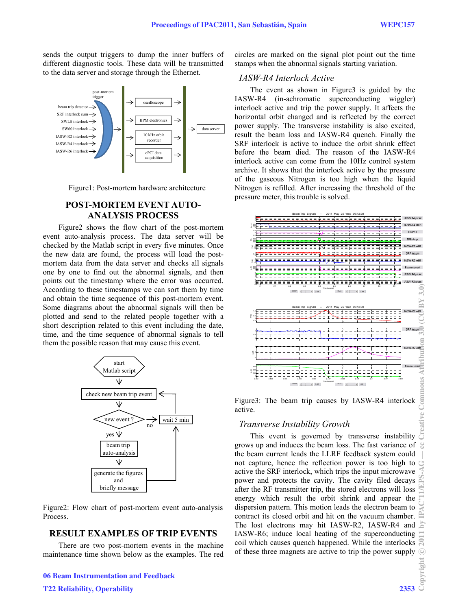sends the output triggers to dump the inner buffers of different diagnostic tools. These data will be transmitted to the data server and storage through the Ethernet.



Figure1: Post-mortem hardware architecture

#### **POST-MORTEM EVENT AUTO-ANALYSIS PROCESS**

Figure2 shows the flow chart of the post-mortem event auto-analysis process. The data server will be checked by the Matlab script in every five minutes. Once the new data are found, the process will load the postmortem data from the data server and checks all signals one by one to find out the abnormal signals, and then points out the timestamp where the error was occurred. According to these timestamps we can sort them by time and obtain the time sequence of this post-mortem event. Some diagrams about the abnormal signals will then be plotted and send to the related people together with a short description related to this event including the date, time, and the time sequence of abnormal signals to tell them the possible reason that may cause this event.



Figure2: Flow chart of post-mortem event auto-analysis Process.

# **RESULT EXAMPLES OF TRIP EVENTS**

There are two post-mortem events in the machine maintenance time shown below as the examples. The red

T22 Reliability, Operability 2353

circles are marked on the signal plot point out the time stamps when the abnormal signals starting variation.

#### *IASW-R4 Interlock Active*

The event as shown in Figure3 is guided by the IASW-R4 (in-achromatic superconducting wiggler) interlock active and trip the power supply. It affects the horizontal orbit changed and is reflected by the correct power supply. The transverse instability is also excited, result the beam loss and IASW-R4 quench. Finally the SRF interlock is active to induce the orbit shrink effect before the beam died. The reason of the IASW-R4 interlock active can come from the 10Hz control system archive. It shows that the interlock active by the pressure of the gaseous Nitrogen is too high when the liquid Nitrogen is refilled. After increasing the threshold of the pressure meter, this trouble is solved.



Figure3: The beam trip causes by IASW-R4 interlock active.

### *Transverse Instability Growth*

Example is unsverse Instability Growth<br>This event is governed by transverse instability grows up and induces the beam loss. The fast variance of the beam current leads the LLRF feedback system could not capture, hence the reflection power is too high to active the SRF interlock, which trips the input microwave power and protects the cavity. The cavity filed decays after the RF transmitter trip, the stored electrons will loss energy which result the orbit shrink and appear the dispersion pattern. This motion leads the electron beam to contract its closed orbit and hit on the vacuum chamber. The lost electrons may hit IASW-R2, IASW-R4 and IASW-R6; induce local heating of the superconducting coil which causes quench happened. While the interlocks of these three magnets are active to trip the power supply